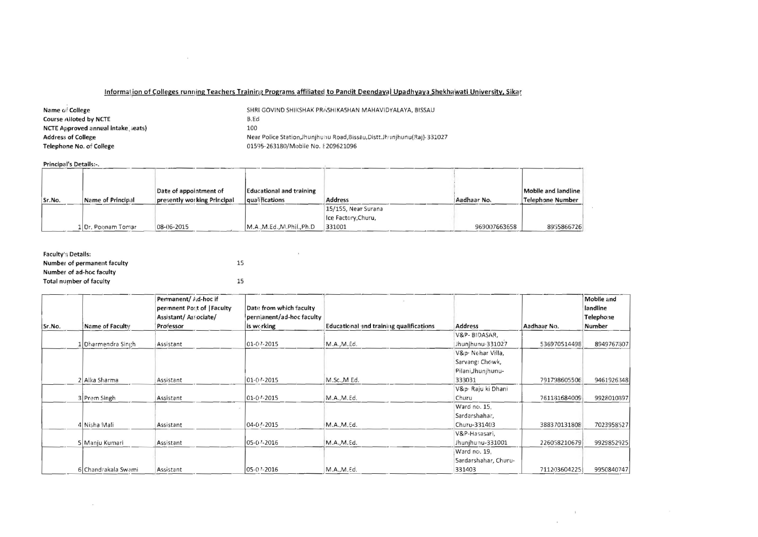## Information of Colleges running Teachers Training Programs affiliated to Pandit Deendayal Upadhyaya Shekhawati University, Sikar

| Name of College                           | SHRI GOVIND SHIKSHAK PRASHIKASHAN MAHAVIDYALAYA, BISSAU                    |
|-------------------------------------------|----------------------------------------------------------------------------|
| Course Alloted by NCTE                    | B.Ed                                                                       |
| <b>NCTE Approved annual intake seats)</b> | 100                                                                        |
| <b>Address of College</b>                 | Near Police Station, Jhunjhunu Road, Bissau, Distt. Jhunjhunu (Raj) 331027 |
| Telephone No. of College                  | 01595-263180/Mobile No. £209621096                                         |

and the contract of the

## Principal's Details:-.

 $\langle \, \bullet \, \rangle$ 

| Principal's Details:-. |                    |                                                       |                                                    |                                                      |              |                                         |
|------------------------|--------------------|-------------------------------------------------------|----------------------------------------------------|------------------------------------------------------|--------------|-----------------------------------------|
| Sr.No.                 | Name of Principal  | Date of appointment of<br>presently working Principal | <b>Educational and training</b><br>laualifications | <b>Address</b>                                       | Aadhaar No.  | Mobile and landline<br>Telephone Number |
|                        | 1 Dr. Poonam Tomar | 08-06-2015                                            | M.A., M.Ed., M.PhiI., Ph.D                         | 15/155, Near Surana<br>Ice Factory, Churu,<br>331001 | 969007663658 | 8955866726                              |

**Contract Contract** 

| Faculty's Details:          |    |
|-----------------------------|----|
| Number of permanent faculty | 15 |
| Number of ad-hoc faculty    |    |
| Total number of faculty     | 15 |

|        |                        | Permanent/ <i>l</i> <sub>i</sub> d-hoc if<br>perinnent Post of   Faculty<br>Assistant/Associate/ | Date from which faculty<br>permanent/ad-hoc faculty |                                         |                      |              | Mobile and<br>landline<br>Telephone |
|--------|------------------------|--------------------------------------------------------------------------------------------------|-----------------------------------------------------|-----------------------------------------|----------------------|--------------|-------------------------------------|
| Sr.No. | <b>Name of Faculty</b> | <b>Professor</b>                                                                                 | is working                                          | Educational and training qualifications | Address              | Aadhaar No.  | Number                              |
|        |                        |                                                                                                  |                                                     |                                         | V&P-BIDASAR,         |              |                                     |
|        | Dharmendra Singh       | Assistant                                                                                        | 01-07-2015                                          | M.A., M.Ed.                             | Jhunjhunu-331027     | 536970514498 | 8949767307                          |
|        |                        |                                                                                                  |                                                     |                                         | V&p. Nehar Villa,    |              |                                     |
|        |                        |                                                                                                  |                                                     |                                         | Sarvang: Chowk,      |              |                                     |
|        |                        |                                                                                                  |                                                     |                                         | Pilani, Jhunjhunu-   |              |                                     |
|        | 2 Alka Sharma          | Assistant                                                                                        | 01-07-2015                                          | M.Sc., M.Ed.                            | 333031               | 791798605506 | 9461926348                          |
|        |                        |                                                                                                  |                                                     |                                         | V&p. Raju ki Dhani   |              |                                     |
|        | 3 Prem Singh           | Assistant                                                                                        | 01-07-2015                                          | M.A., M.Ed.                             | Churu                | 761131684009 | 9928010397                          |
|        |                        |                                                                                                  |                                                     |                                         | Ward no. 15,         |              |                                     |
|        |                        |                                                                                                  |                                                     |                                         | Sardarshahar,        |              |                                     |
|        | 4 Nisha Mali           | Assistant                                                                                        | 04-07-2015                                          | M.A., M.Ed.                             | Churu-331403         | 388370131808 | 7023958527                          |
|        |                        |                                                                                                  |                                                     |                                         | V&P-Hasasari,        |              |                                     |
|        | 5 Manju Kumari         | Assistant                                                                                        | 05-07-2016                                          | M.A., M.Ed.                             | Jhunjhunu-331001     | 226058210679 | 9929852925                          |
|        |                        |                                                                                                  |                                                     |                                         | Ward no. 19.         |              |                                     |
|        |                        |                                                                                                  |                                                     |                                         | Sardarshahar, Churu- |              |                                     |
|        | 6 Chandrakala Swami    | Assistant                                                                                        | 05-07-2016                                          | M.A.,M.Ed.                              | 331403               | 711203604225 | 9950840747                          |

 $\mathcal{N}$  . The state of the state  $\mathcal{N}$ 

 $\lambda$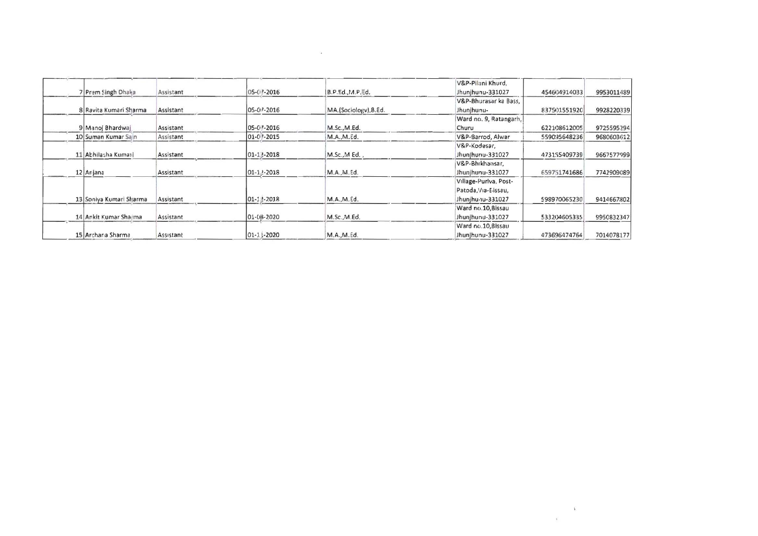|                         |           |                   |                       | V&P-Pilani Khurd,      |              |            |
|-------------------------|-----------|-------------------|-----------------------|------------------------|--------------|------------|
| 7 Prem Singh Dhaka      | Assistant | 05-07-2016        | B.P.Ed.,M.P.Ed.       | Jhunjhunu-331027       | 454604914033 | 9953011489 |
|                         |           |                   |                       | V&P-Bhurasar ka Bass,  |              |            |
| 8 Ravita Kumari Sharma  | Assistant | 05-07-2016        | MA.(Sociology), 8.Ed. | Jhunjhunu-             | 837501551920 | 9928220339 |
|                         |           |                   |                       | Ward no. 9, Ratangarh, |              |            |
| 9 Manoj Bhardwaj        | Assistant | 05-07-2016        | M.Sc., M.Ed.          | Churu                  | 622108612005 | 9725595294 |
| 10 Suman Kumar Sain     | Assistant | 01-07-2015        | M.A.,M.Ed.            | V&P-Barrod, Alwar      | 559095648236 | 9680603612 |
|                         |           |                   |                       | V&P-Kodesar.           |              |            |
| 11 Abhilasha Kumari     | Assistant | $01 - 12 - 2018$  | M.Sc., MEd.,          | Jhunjhunu-331027       | 473155409739 | 9667577999 |
|                         |           |                   |                       | V&P-Bhikhansar,        |              |            |
| 12 Anjana               | Assistant | $01 - 1.2 - 2018$ | M.A., M.Ed.           | Jhunjhunu-331027       | 659751741686 | 7742909089 |
|                         |           |                   |                       | Village-Puriva, Post-  |              |            |
|                         |           |                   |                       | Patoda, Via-Elissau,   |              |            |
| 13 Soniya Kumari Sharma | Assistant | $01 - 12 - 2018$  | M.A., M.Ed.           | Jhunjhunu-331027       | 598970065230 | 9414667802 |
|                         |           |                   |                       | Ward no.10, Bissau     |              |            |
| 14 Ankit Kumar Sharma   | Assistant | 01-08-2020        | M.Sc.,M.Ed.           | Jhunjhunu-331027       | 533204605335 | 9950832347 |
|                         |           |                   |                       | Ward no.10, Bissau     |              |            |
| 15 Archana Sharma       | Assistant | 01-11-2020        | M.A.,M.Ed.            | Jhun hunu-331027       | 473696474764 | 7014078177 |

 $\frac{1}{\sqrt{2}}$  .

 $\mathcal{L}(\mathcal{L}(\mathcal{L}))$  and  $\mathcal{L}(\mathcal{L}(\mathcal{L}))$  . The contribution of  $\mathcal{L}(\mathcal{L})$